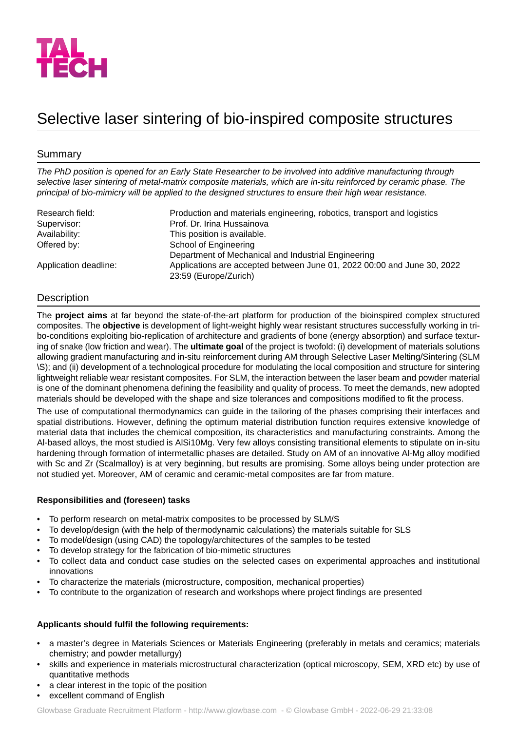

# Selective laser sintering of bio-inspired composite structures

# Summary

*The PhD position is opened for an Early State Researcher to be involved into additive manufacturing through selective laser sintering of metal-matrix composite materials, which are in-situ reinforced by ceramic phase. The principal of bio-mimicry will be applied to the designed structures to ensure their high wear resistance.*

| Research field:       | Production and materials engineering, robotics, transport and logistics |
|-----------------------|-------------------------------------------------------------------------|
| Supervisor:           | Prof. Dr. Irina Hussainova                                              |
| Availability:         | This position is available.                                             |
| Offered by:           | School of Engineering                                                   |
|                       | Department of Mechanical and Industrial Engineering                     |
| Application deadline: | Applications are accepted between June 01, 2022 00:00 and June 30, 2022 |
|                       | 23:59 (Europe/Zurich)                                                   |

# Description

The **project aims** at far beyond the state-of-the-art platform for production of the bioinspired complex structured composites. The **objective** is development of light-weight highly wear resistant structures successfully working in tribo-conditions exploiting bio-replication of architecture and gradients of bone (energy absorption) and surface texturing of snake (low friction and wear). The **ultimate goal** of the project is twofold: (i) development of materials solutions allowing gradient manufacturing and in-situ reinforcement during AM through Selective Laser Melting/Sintering (SLM \S); and (ii) development of a technological procedure for modulating the local composition and structure for sintering lightweight reliable wear resistant composites. For SLM, the interaction between the laser beam and powder material is one of the dominant phenomena defining the feasibility and quality of process. To meet the demands, new adopted materials should be developed with the shape and size tolerances and compositions modified to fit the process.

The use of computational thermodynamics can guide in the tailoring of the phases comprising their interfaces and spatial distributions. However, defining the optimum material distribution function requires extensive knowledge of material data that includes the chemical composition, its characteristics and manufacturing constraints. Among the Al-based alloys, the most studied is AlSi10Mg. Very few alloys consisting transitional elements to stipulate on in-situ hardening through formation of intermetallic phases are detailed. Study on AM of an innovative Al-Mg alloy modified with Sc and Zr (Scalmalloy) is at very beginning, but results are promising. Some alloys being under protection are not studied yet. Moreover, AM of ceramic and ceramic-metal composites are far from mature.

## **Responsibilities and (foreseen) tasks**

- To perform research on metal-matrix composites to be processed by SLM/S
- To develop/design (with the help of thermodynamic calculations) the materials suitable for SLS
- To model/design (using CAD) the topology/architectures of the samples to be tested
- To develop strategy for the fabrication of bio-mimetic structures
- To collect data and conduct case studies on the selected cases on experimental approaches and institutional innovations
- To characterize the materials (microstructure, composition, mechanical properties)
- To contribute to the organization of research and workshops where project findings are presented

#### **Applicants should fulfil the following requirements:**

- a master's degree in Materials Sciences or Materials Engineering (preferably in metals and ceramics; materials chemistry; and powder metallurgy)
- skills and experience in materials microstructural characterization (optical microscopy, SEM, XRD etc) by use of quantitative methods
- a clear interest in the topic of the position
- excellent command of English

Glowbase Graduate Recruitment Platform -<http://www.glowbase.com> - © Glowbase GmbH - 2022-06-29 21:33:08